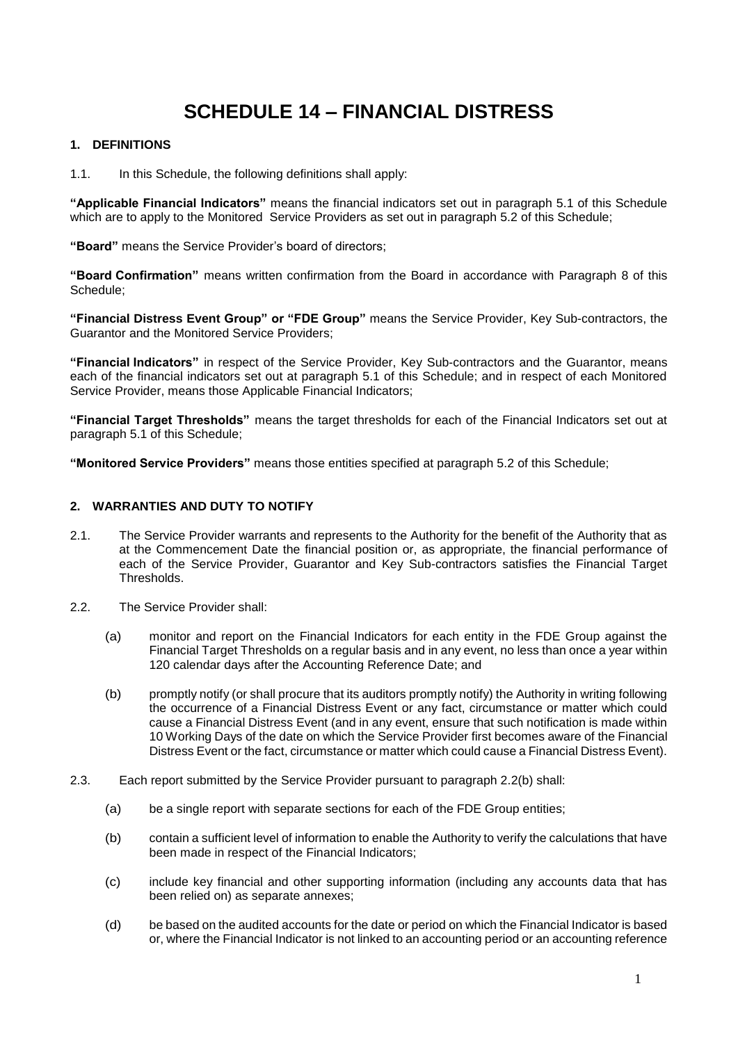# **SCHEDULE 14 – FINANCIAL DISTRESS**

## **1. DEFINITIONS**

1.1. In this Schedule, the following definitions shall apply:

**"Applicable Financial Indicators"** means the financial indicators set out in paragraph 5.1 of this Schedule which are to apply to the Monitored Service Providers as set out in paragraph 5.2 of this Schedule;

**"Board"** means the Service Provider's board of directors;

**"Board Confirmation"** means written confirmation from the Board in accordance with Paragraph 8 of this Schedule;

**"Financial Distress Event Group" or "FDE Group"** means the Service Provider, Key Sub-contractors, the Guarantor and the Monitored Service Providers;

**"Financial Indicators"** in respect of the Service Provider, Key Sub-contractors and the Guarantor, means each of the financial indicators set out at paragraph 5.1 of this Schedule; and in respect of each Monitored Service Provider, means those Applicable Financial Indicators;

**"Financial Target Thresholds"** means the target thresholds for each of the Financial Indicators set out at paragraph 5.1 of this Schedule;

**"Monitored Service Providers"** means those entities specified at paragraph 5.2 of this Schedule;

#### **2. WARRANTIES AND DUTY TO NOTIFY**

- 2.1. The Service Provider warrants and represents to the Authority for the benefit of the Authority that as at the Commencement Date the financial position or, as appropriate, the financial performance of each of the Service Provider, Guarantor and Key Sub-contractors satisfies the Financial Target Thresholds.
- 2.2. The Service Provider shall:
	- (a) monitor and report on the Financial Indicators for each entity in the FDE Group against the Financial Target Thresholds on a regular basis and in any event, no less than once a year within 120 calendar days after the Accounting Reference Date; and
	- (b) promptly notify (or shall procure that its auditors promptly notify) the Authority in writing following the occurrence of a Financial Distress Event or any fact, circumstance or matter which could cause a Financial Distress Event (and in any event, ensure that such notification is made within 10 Working Days of the date on which the Service Provider first becomes aware of the Financial Distress Event or the fact, circumstance or matter which could cause a Financial Distress Event).
- 2.3. Each report submitted by the Service Provider pursuant to paragraph 2.2(b) shall:
	- (a) be a single report with separate sections for each of the FDE Group entities;
	- (b) contain a sufficient level of information to enable the Authority to verify the calculations that have been made in respect of the Financial Indicators;
	- (c) include key financial and other supporting information (including any accounts data that has been relied on) as separate annexes;
	- (d) be based on the audited accounts for the date or period on which the Financial Indicator is based or, where the Financial Indicator is not linked to an accounting period or an accounting reference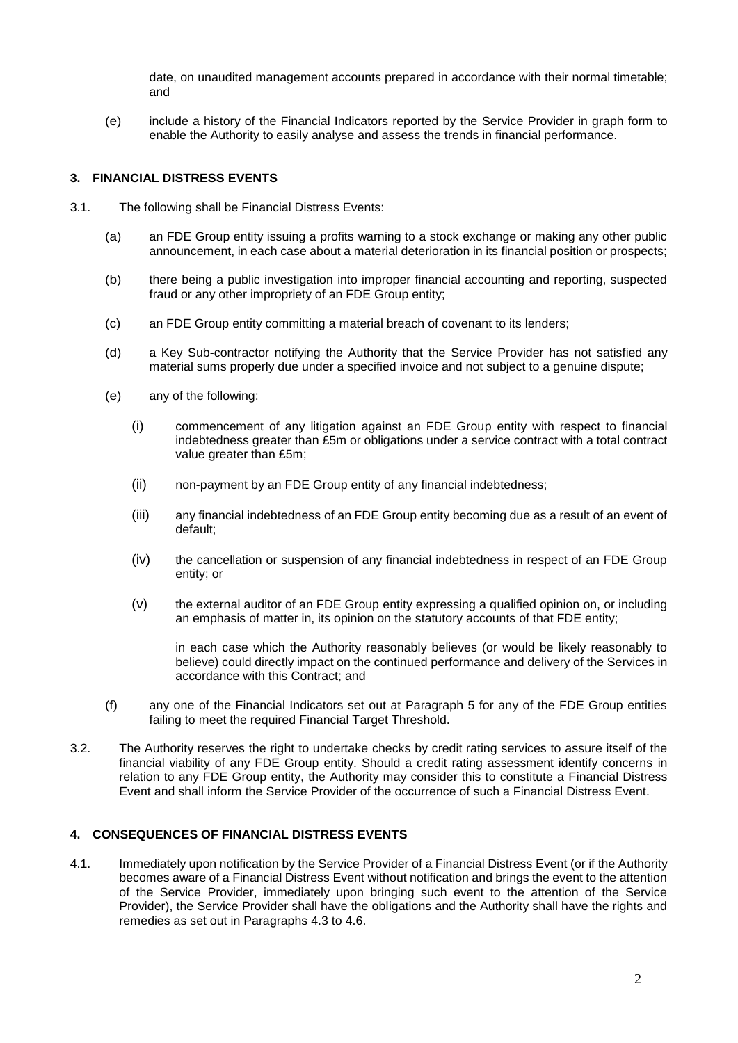date, on unaudited management accounts prepared in accordance with their normal timetable; and

(e) include a history of the Financial Indicators reported by the Service Provider in graph form to enable the Authority to easily analyse and assess the trends in financial performance.

# **3. FINANCIAL DISTRESS EVENTS**

- 3.1. The following shall be Financial Distress Events:
	- (a) an FDE Group entity issuing a profits warning to a stock exchange or making any other public announcement, in each case about a material deterioration in its financial position or prospects;
	- (b) there being a public investigation into improper financial accounting and reporting, suspected fraud or any other impropriety of an FDE Group entity;
	- (c) an FDE Group entity committing a material breach of covenant to its lenders;
	- (d) a Key Sub-contractor notifying the Authority that the Service Provider has not satisfied any material sums properly due under a specified invoice and not subject to a genuine dispute;
	- (e) any of the following:
		- (i) commencement of any litigation against an FDE Group entity with respect to financial indebtedness greater than £5m or obligations under a service contract with a total contract value greater than £5m;
		- (ii) non-payment by an FDE Group entity of any financial indebtedness;
		- (iii) any financial indebtedness of an FDE Group entity becoming due as a result of an event of default;
		- (iv) the cancellation or suspension of any financial indebtedness in respect of an FDE Group entity; or
		- (v) the external auditor of an FDE Group entity expressing a qualified opinion on, or including an emphasis of matter in, its opinion on the statutory accounts of that FDE entity;

in each case which the Authority reasonably believes (or would be likely reasonably to believe) could directly impact on the continued performance and delivery of the Services in accordance with this Contract; and

- (f) any one of the Financial Indicators set out at Paragraph 5 for any of the FDE Group entities failing to meet the required Financial Target Threshold.
- 3.2. The Authority reserves the right to undertake checks by credit rating services to assure itself of the financial viability of any FDE Group entity. Should a credit rating assessment identify concerns in relation to any FDE Group entity, the Authority may consider this to constitute a Financial Distress Event and shall inform the Service Provider of the occurrence of such a Financial Distress Event.

## **4. CONSEQUENCES OF FINANCIAL DISTRESS EVENTS**

4.1. Immediately upon notification by the Service Provider of a Financial Distress Event (or if the Authority becomes aware of a Financial Distress Event without notification and brings the event to the attention of the Service Provider, immediately upon bringing such event to the attention of the Service Provider), the Service Provider shall have the obligations and the Authority shall have the rights and remedies as set out in Paragraphs 4.3 to 4.6.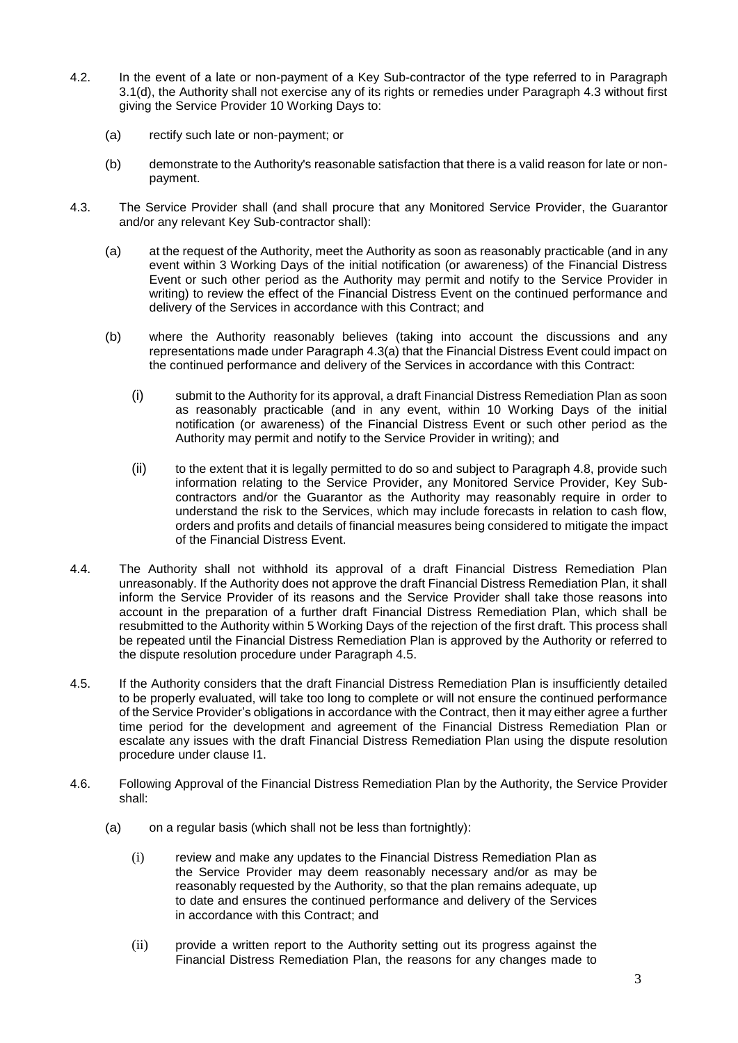- 4.2. In the event of a late or non-payment of a Key Sub-contractor of the type referred to in Paragraph 3.1(d), the Authority shall not exercise any of its rights or remedies under Paragraph 4.3 without first giving the Service Provider 10 Working Days to:
	- (a) rectify such late or non-payment; or
	- (b) demonstrate to the Authority's reasonable satisfaction that there is a valid reason for late or nonpayment.
- 4.3. The Service Provider shall (and shall procure that any Monitored Service Provider, the Guarantor and/or any relevant Key Sub-contractor shall):
	- (a) at the request of the Authority, meet the Authority as soon as reasonably practicable (and in any event within 3 Working Days of the initial notification (or awareness) of the Financial Distress Event or such other period as the Authority may permit and notify to the Service Provider in writing) to review the effect of the Financial Distress Event on the continued performance and delivery of the Services in accordance with this Contract; and
	- (b) where the Authority reasonably believes (taking into account the discussions and any representations made under Paragraph 4.3(a) that the Financial Distress Event could impact on the continued performance and delivery of the Services in accordance with this Contract:
		- (i) submit to the Authority for its approval, a draft Financial Distress Remediation Plan as soon as reasonably practicable (and in any event, within 10 Working Days of the initial notification (or awareness) of the Financial Distress Event or such other period as the Authority may permit and notify to the Service Provider in writing); and
		- (ii) to the extent that it is legally permitted to do so and subject to Paragraph 4.8, provide such information relating to the Service Provider, any Monitored Service Provider, Key Subcontractors and/or the Guarantor as the Authority may reasonably require in order to understand the risk to the Services, which may include forecasts in relation to cash flow, orders and profits and details of financial measures being considered to mitigate the impact of the Financial Distress Event.
- 4.4. The Authority shall not withhold its approval of a draft Financial Distress Remediation Plan unreasonably. If the Authority does not approve the draft Financial Distress Remediation Plan, it shall inform the Service Provider of its reasons and the Service Provider shall take those reasons into account in the preparation of a further draft Financial Distress Remediation Plan, which shall be resubmitted to the Authority within 5 Working Days of the rejection of the first draft. This process shall be repeated until the Financial Distress Remediation Plan is approved by the Authority or referred to the dispute resolution procedure under Paragraph 4.5.
- 4.5. If the Authority considers that the draft Financial Distress Remediation Plan is insufficiently detailed to be properly evaluated, will take too long to complete or will not ensure the continued performance of the Service Provider's obligations in accordance with the Contract, then it may either agree a further time period for the development and agreement of the Financial Distress Remediation Plan or escalate any issues with the draft Financial Distress Remediation Plan using the dispute resolution procedure under clause I1.
- 4.6. Following Approval of the Financial Distress Remediation Plan by the Authority, the Service Provider shall:
	- (a) on a regular basis (which shall not be less than fortnightly):
		- (i) review and make any updates to the Financial Distress Remediation Plan as the Service Provider may deem reasonably necessary and/or as may be reasonably requested by the Authority, so that the plan remains adequate, up to date and ensures the continued performance and delivery of the Services in accordance with this Contract; and
		- (ii) provide a written report to the Authority setting out its progress against the Financial Distress Remediation Plan, the reasons for any changes made to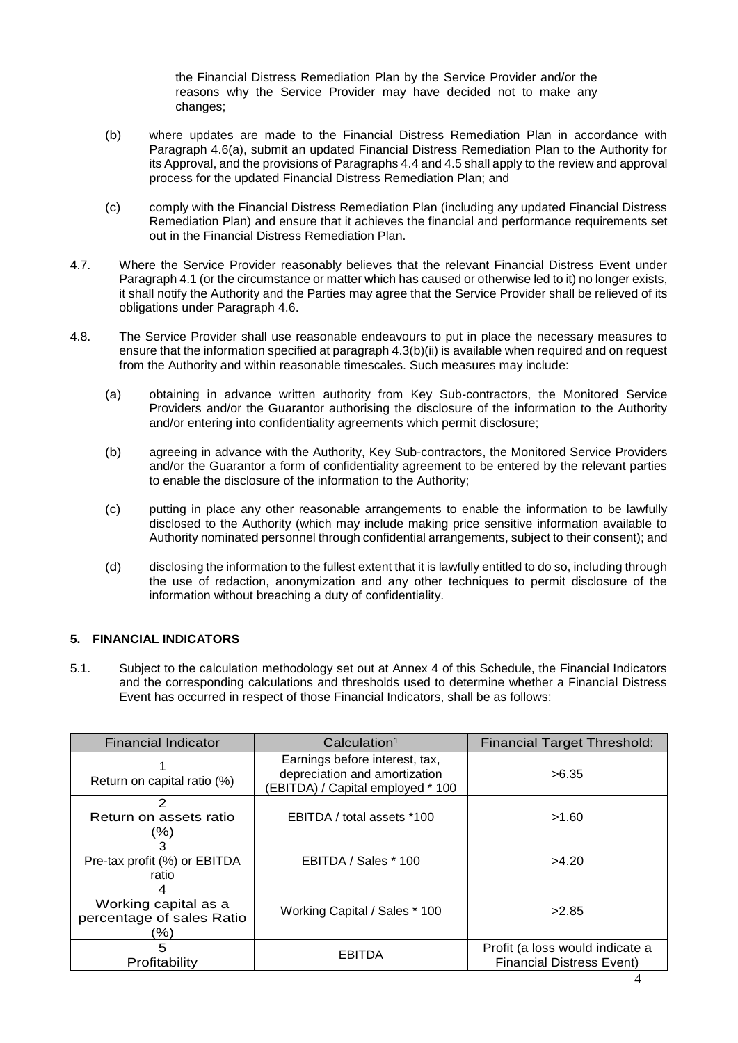the Financial Distress Remediation Plan by the Service Provider and/or the reasons why the Service Provider may have decided not to make any changes;

- (b) where updates are made to the Financial Distress Remediation Plan in accordance with Paragraph 4.6(a), submit an updated Financial Distress Remediation Plan to the Authority for its Approval, and the provisions of Paragraphs 4.4 and 4.5 shall apply to the review and approval process for the updated Financial Distress Remediation Plan; and
- (c) comply with the Financial Distress Remediation Plan (including any updated Financial Distress Remediation Plan) and ensure that it achieves the financial and performance requirements set out in the Financial Distress Remediation Plan.
- 4.7. Where the Service Provider reasonably believes that the relevant Financial Distress Event under Paragraph 4.1 (or the circumstance or matter which has caused or otherwise led to it) no longer exists, it shall notify the Authority and the Parties may agree that the Service Provider shall be relieved of its obligations under Paragraph 4.6.
- 4.8. The Service Provider shall use reasonable endeavours to put in place the necessary measures to ensure that the information specified at paragraph 4.3(b)(ii) is available when required and on request from the Authority and within reasonable timescales. Such measures may include:
	- (a) obtaining in advance written authority from Key Sub-contractors, the Monitored Service Providers and/or the Guarantor authorising the disclosure of the information to the Authority and/or entering into confidentiality agreements which permit disclosure;
	- (b) agreeing in advance with the Authority, Key Sub-contractors, the Monitored Service Providers and/or the Guarantor a form of confidentiality agreement to be entered by the relevant parties to enable the disclosure of the information to the Authority;
	- (c) putting in place any other reasonable arrangements to enable the information to be lawfully disclosed to the Authority (which may include making price sensitive information available to Authority nominated personnel through confidential arrangements, subject to their consent); and
	- (d) disclosing the information to the fullest extent that it is lawfully entitled to do so, including through the use of redaction, anonymization and any other techniques to permit disclosure of the information without breaching a duty of confidentiality.

#### **5. FINANCIAL INDICATORS**

5.1. Subject to the calculation methodology set out at Annex 4 of this Schedule, the Financial Indicators and the corresponding calculations and thresholds used to determine whether a Financial Distress Event has occurred in respect of those Financial Indicators, shall be as follows:

| <b>Financial Indicator</b>                                    | Calculation <sup>1</sup>                                                                             | <b>Financial Target Threshold:</b>                                  |
|---------------------------------------------------------------|------------------------------------------------------------------------------------------------------|---------------------------------------------------------------------|
| Return on capital ratio (%)                                   | Earnings before interest, tax,<br>depreciation and amortization<br>(EBITDA) / Capital employed * 100 | >6.35                                                               |
| 2<br>Return on assets ratio<br>(%)                            | EBITDA / total assets *100                                                                           | >1.60                                                               |
| Pre-tax profit (%) or EBITDA<br>ratio                         | EBITDA / Sales * 100                                                                                 | >4.20                                                               |
| 4<br>Working capital as a<br>percentage of sales Ratio<br>(%) | Working Capital / Sales * 100                                                                        | >2.85                                                               |
| 5<br>Profitability                                            | <b>EBITDA</b>                                                                                        | Profit (a loss would indicate a<br><b>Financial Distress Event)</b> |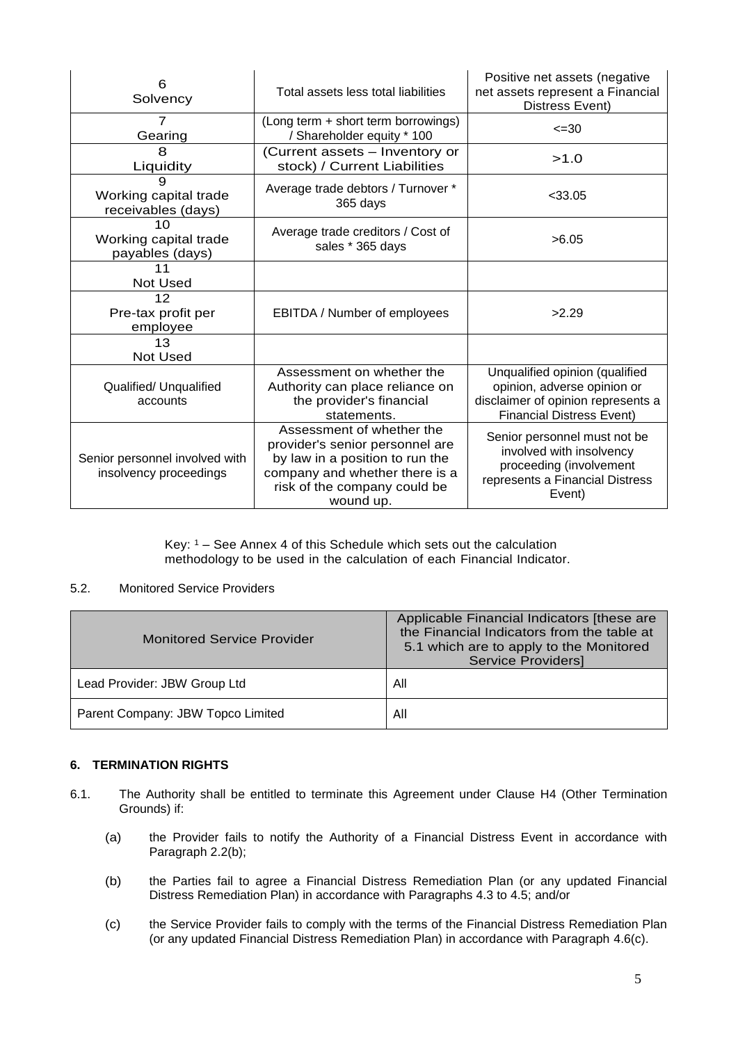| 6<br>Solvency                                            | Total assets less total liabilities                                                                                                                                            | Positive net assets (negative<br>net assets represent a Financial<br>Distress Event)                                                    |
|----------------------------------------------------------|--------------------------------------------------------------------------------------------------------------------------------------------------------------------------------|-----------------------------------------------------------------------------------------------------------------------------------------|
| $\overline{7}$<br>Gearing                                | (Long term + short term borrowings)<br>/ Shareholder equity * 100                                                                                                              | $\leq 30$                                                                                                                               |
| 8<br>Liquidity                                           | (Current assets - Inventory or<br>stock) / Current Liabilities                                                                                                                 | >1.0                                                                                                                                    |
| Working capital trade<br>receivables (days)              | Average trade debtors / Turnover *<br>365 days                                                                                                                                 | $<$ 33.05                                                                                                                               |
| 10<br>Working capital trade<br>payables (days)           | Average trade creditors / Cost of<br>sales * 365 days                                                                                                                          | >6.05                                                                                                                                   |
| 11<br>Not Used                                           |                                                                                                                                                                                |                                                                                                                                         |
| 12<br>Pre-tax profit per<br>employee                     | <b>EBITDA</b> / Number of employees                                                                                                                                            | >2.29                                                                                                                                   |
| 13<br><b>Not Used</b>                                    |                                                                                                                                                                                |                                                                                                                                         |
| Qualified/ Unqualified<br>accounts                       | Assessment on whether the<br>Authority can place reliance on<br>the provider's financial<br>statements.                                                                        | Unqualified opinion (qualified<br>opinion, adverse opinion or<br>disclaimer of opinion represents a<br><b>Financial Distress Event)</b> |
| Senior personnel involved with<br>insolvency proceedings | Assessment of whether the<br>provider's senior personnel are<br>by law in a position to run the<br>company and whether there is a<br>risk of the company could be<br>wound up. | Senior personnel must not be<br>involved with insolvency<br>proceeding (involvement<br>represents a Financial Distress<br>Event)        |

Key: <sup>1</sup> – See Annex 4 of this Schedule which sets out the calculation methodology to be used in the calculation of each Financial Indicator.

#### 5.2. Monitored Service Providers

| <b>Monitored Service Provider</b> | Applicable Financial Indicators [these are<br>the Financial Indicators from the table at<br>5.1 which are to apply to the Monitored<br><b>Service Providers]</b> |
|-----------------------------------|------------------------------------------------------------------------------------------------------------------------------------------------------------------|
| Lead Provider: JBW Group Ltd      | All                                                                                                                                                              |
| Parent Company: JBW Topco Limited | All                                                                                                                                                              |

## **6. TERMINATION RIGHTS**

- 6.1. The Authority shall be entitled to terminate this Agreement under Clause H4 (Other Termination Grounds) if:
	- (a) the Provider fails to notify the Authority of a Financial Distress Event in accordance with Paragraph 2.2(b);
	- (b) the Parties fail to agree a Financial Distress Remediation Plan (or any updated Financial Distress Remediation Plan) in accordance with Paragraphs 4.3 to 4.5; and/or
	- (c) the Service Provider fails to comply with the terms of the Financial Distress Remediation Plan (or any updated Financial Distress Remediation Plan) in accordance with Paragraph 4.6(c).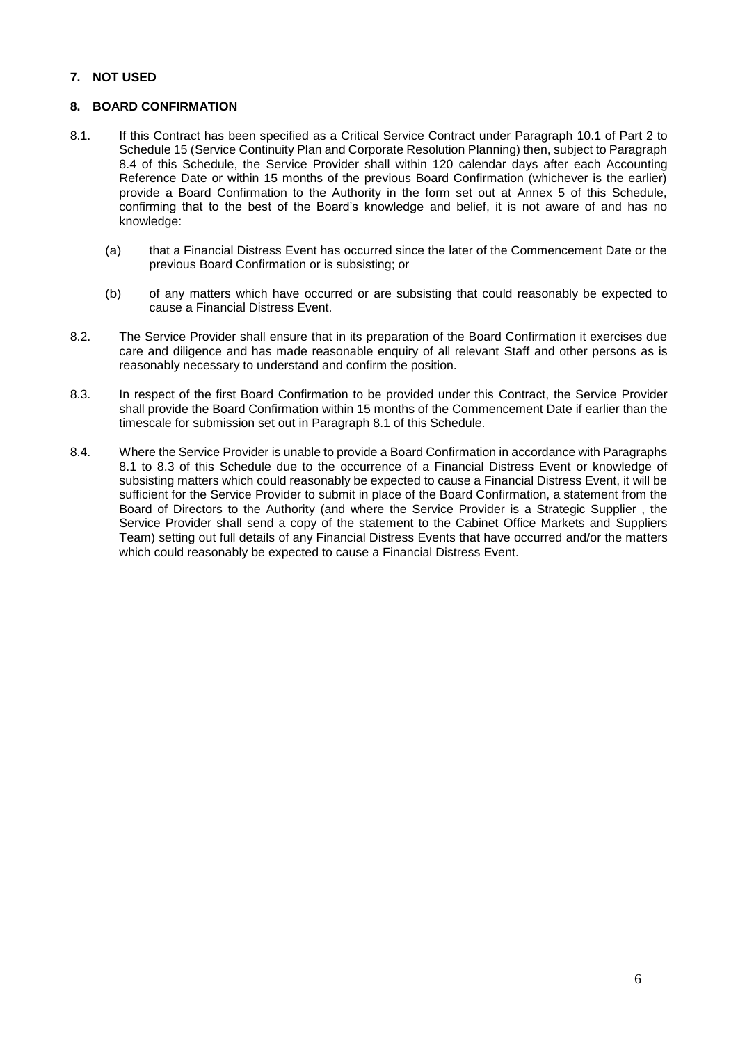# **7. NOT USED**

## **8. BOARD CONFIRMATION**

- 8.1. If this Contract has been specified as a Critical Service Contract under Paragraph 10.1 of Part 2 to Schedule 15 (Service Continuity Plan and Corporate Resolution Planning) then, subject to Paragraph 8.4 of this Schedule, the Service Provider shall within 120 calendar days after each Accounting Reference Date or within 15 months of the previous Board Confirmation (whichever is the earlier) provide a Board Confirmation to the Authority in the form set out at Annex 5 of this Schedule, confirming that to the best of the Board's knowledge and belief, it is not aware of and has no knowledge:
	- (a) that a Financial Distress Event has occurred since the later of the Commencement Date or the previous Board Confirmation or is subsisting; or
	- (b) of any matters which have occurred or are subsisting that could reasonably be expected to cause a Financial Distress Event.
- 8.2. The Service Provider shall ensure that in its preparation of the Board Confirmation it exercises due care and diligence and has made reasonable enquiry of all relevant Staff and other persons as is reasonably necessary to understand and confirm the position.
- 8.3. In respect of the first Board Confirmation to be provided under this Contract, the Service Provider shall provide the Board Confirmation within 15 months of the Commencement Date if earlier than the timescale for submission set out in Paragraph 8.1 of this Schedule.
- 8.4. Where the Service Provider is unable to provide a Board Confirmation in accordance with Paragraphs 8.1 to 8.3 of this Schedule due to the occurrence of a Financial Distress Event or knowledge of subsisting matters which could reasonably be expected to cause a Financial Distress Event, it will be sufficient for the Service Provider to submit in place of the Board Confirmation, a statement from the Board of Directors to the Authority (and where the Service Provider is a Strategic Supplier , the Service Provider shall send a copy of the statement to the Cabinet Office Markets and Suppliers Team) setting out full details of any Financial Distress Events that have occurred and/or the matters which could reasonably be expected to cause a Financial Distress Event.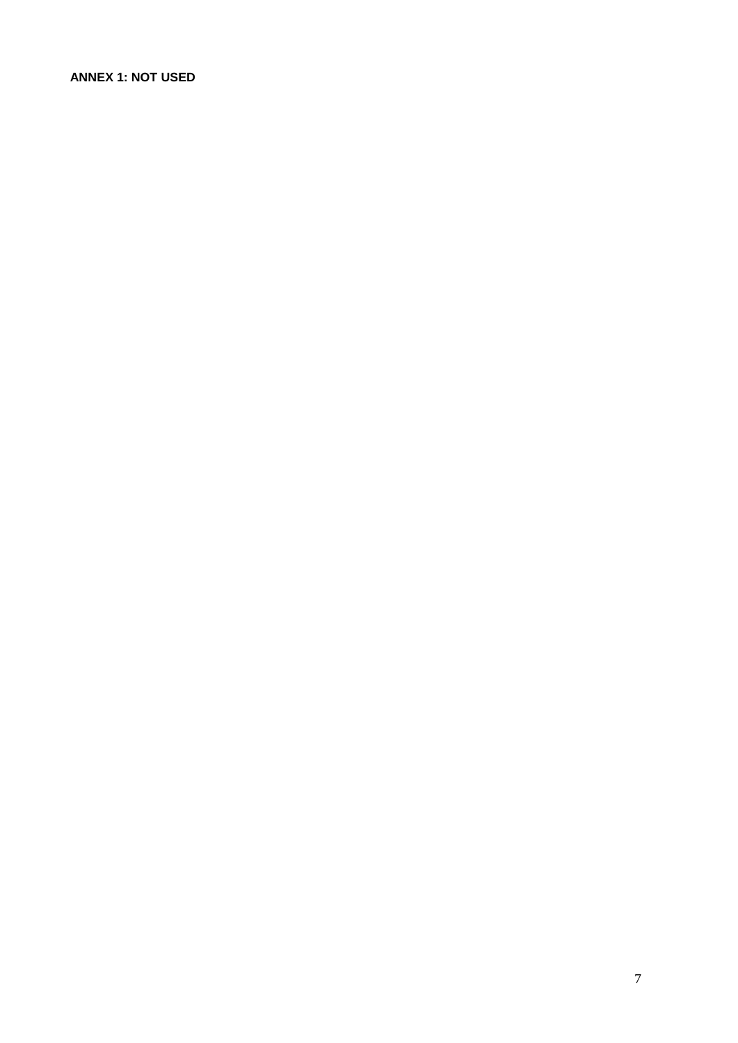**ANNEX 1: NOT USED**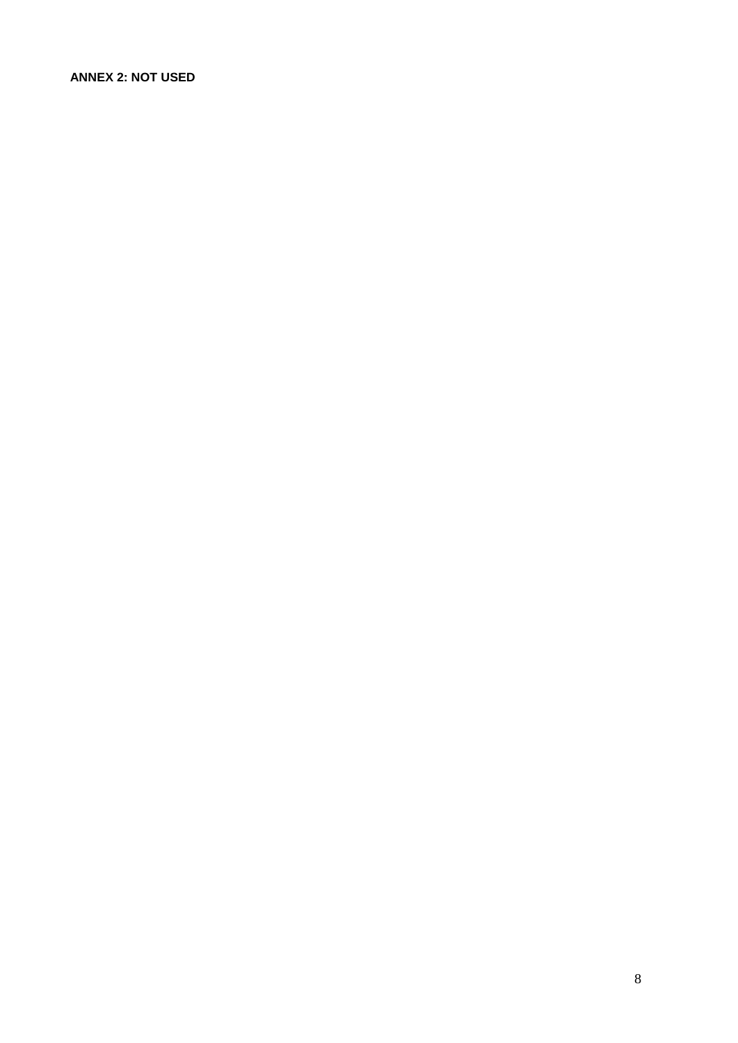**ANNEX 2: NOT USED**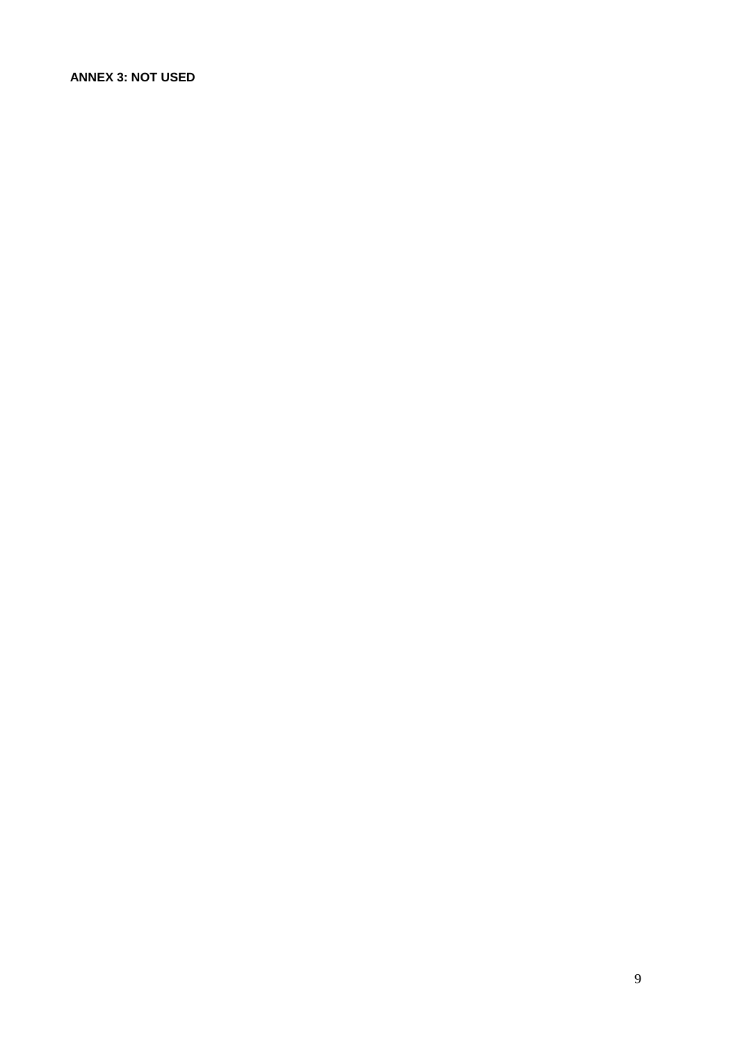**ANNEX 3: NOT USED**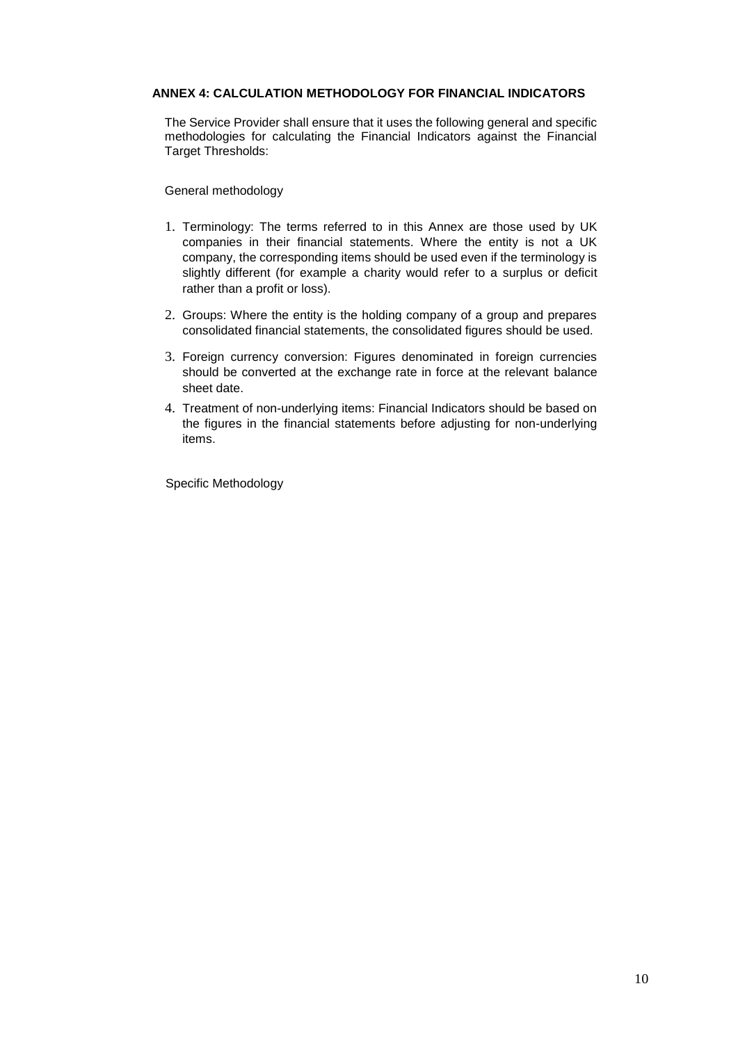# **ANNEX 4: CALCULATION METHODOLOGY FOR FINANCIAL INDICATORS**

The Service Provider shall ensure that it uses the following general and specific methodologies for calculating the Financial Indicators against the Financial Target Thresholds:

General methodology

- 1. Terminology: The terms referred to in this Annex are those used by UK companies in their financial statements. Where the entity is not a UK company, the corresponding items should be used even if the terminology is slightly different (for example a charity would refer to a surplus or deficit rather than a profit or loss).
- 2. Groups: Where the entity is the holding company of a group and prepares consolidated financial statements, the consolidated figures should be used.
- 3. Foreign currency conversion: Figures denominated in foreign currencies should be converted at the exchange rate in force at the relevant balance sheet date.
- 4. Treatment of non-underlying items: Financial Indicators should be based on the figures in the financial statements before adjusting for non-underlying items.

Specific Methodology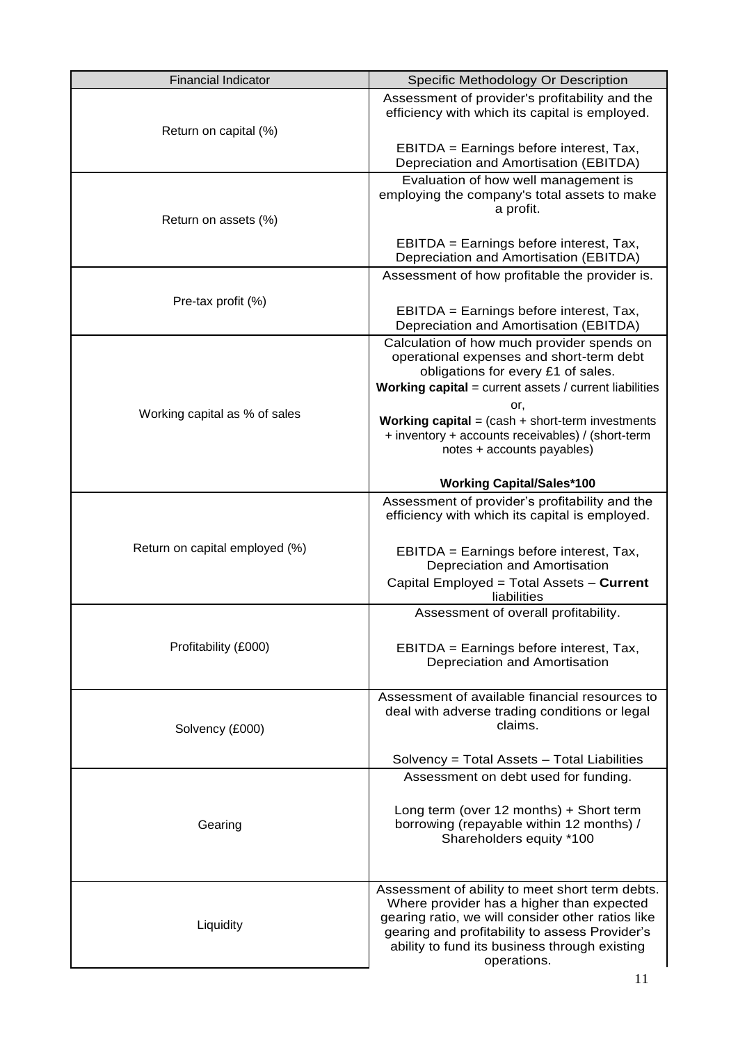| <b>Financial Indicator</b>     | Specific Methodology Or Description                                                                                                                                                                                                                                 |
|--------------------------------|---------------------------------------------------------------------------------------------------------------------------------------------------------------------------------------------------------------------------------------------------------------------|
|                                | Assessment of provider's profitability and the<br>efficiency with which its capital is employed.                                                                                                                                                                    |
| Return on capital (%)          | EBITDA = Earnings before interest, Tax,<br>Depreciation and Amortisation (EBITDA)                                                                                                                                                                                   |
| Return on assets (%)           | Evaluation of how well management is<br>employing the company's total assets to make<br>a profit.                                                                                                                                                                   |
|                                | EBITDA = Earnings before interest, Tax,<br>Depreciation and Amortisation (EBITDA)                                                                                                                                                                                   |
|                                | Assessment of how profitable the provider is.                                                                                                                                                                                                                       |
| Pre-tax profit (%)             | EBITDA = Earnings before interest, Tax,<br>Depreciation and Amortisation (EBITDA)                                                                                                                                                                                   |
|                                | Calculation of how much provider spends on<br>operational expenses and short-term debt<br>obligations for every £1 of sales.                                                                                                                                        |
|                                | Working capital = current assets / current liabilities                                                                                                                                                                                                              |
| Working capital as % of sales  | or,<br><b>Working capital</b> = $(cash + short-term$ investments<br>+ inventory + accounts receivables) / (short-term<br>notes + accounts payables)                                                                                                                 |
|                                | <b>Working Capital/Sales*100</b>                                                                                                                                                                                                                                    |
|                                | Assessment of provider's profitability and the<br>efficiency with which its capital is employed.                                                                                                                                                                    |
| Return on capital employed (%) | EBITDA = Earnings before interest, Tax,<br>Depreciation and Amortisation                                                                                                                                                                                            |
|                                | Capital Employed = Total Assets - Current<br>liabilities                                                                                                                                                                                                            |
|                                | Assessment of overall profitability.                                                                                                                                                                                                                                |
| Profitability (£000)           | EBITDA = Earnings before interest, Tax,<br>Depreciation and Amortisation                                                                                                                                                                                            |
| Solvency (£000)                | Assessment of available financial resources to<br>deal with adverse trading conditions or legal<br>claims.                                                                                                                                                          |
|                                | Solvency = Total Assets - Total Liabilities                                                                                                                                                                                                                         |
|                                | Assessment on debt used for funding.                                                                                                                                                                                                                                |
| Gearing                        | Long term (over 12 months) + Short term<br>borrowing (repayable within 12 months) /<br>Shareholders equity *100                                                                                                                                                     |
| Liquidity                      | Assessment of ability to meet short term debts.<br>Where provider has a higher than expected<br>gearing ratio, we will consider other ratios like<br>gearing and profitability to assess Provider's<br>ability to fund its business through existing<br>operations. |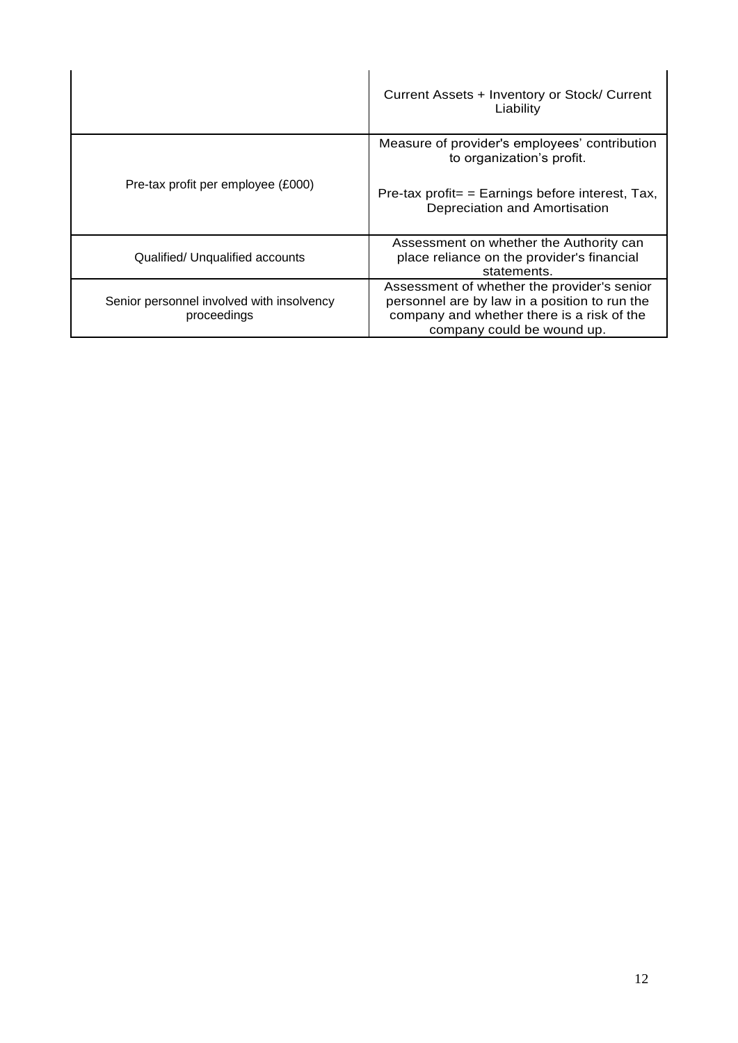|                                                          | Current Assets + Inventory or Stock/ Current<br>Liability                                                                                                                |
|----------------------------------------------------------|--------------------------------------------------------------------------------------------------------------------------------------------------------------------------|
|                                                          | Measure of provider's employees' contribution<br>to organization's profit.                                                                                               |
| Pre-tax profit per employee (£000)                       | Pre-tax profit = $=$ Earnings before interest, Tax,<br>Depreciation and Amortisation                                                                                     |
| Qualified/ Unqualified accounts                          | Assessment on whether the Authority can<br>place reliance on the provider's financial<br>statements.                                                                     |
| Senior personnel involved with insolvency<br>proceedings | Assessment of whether the provider's senior<br>personnel are by law in a position to run the<br>company and whether there is a risk of the<br>company could be wound up. |